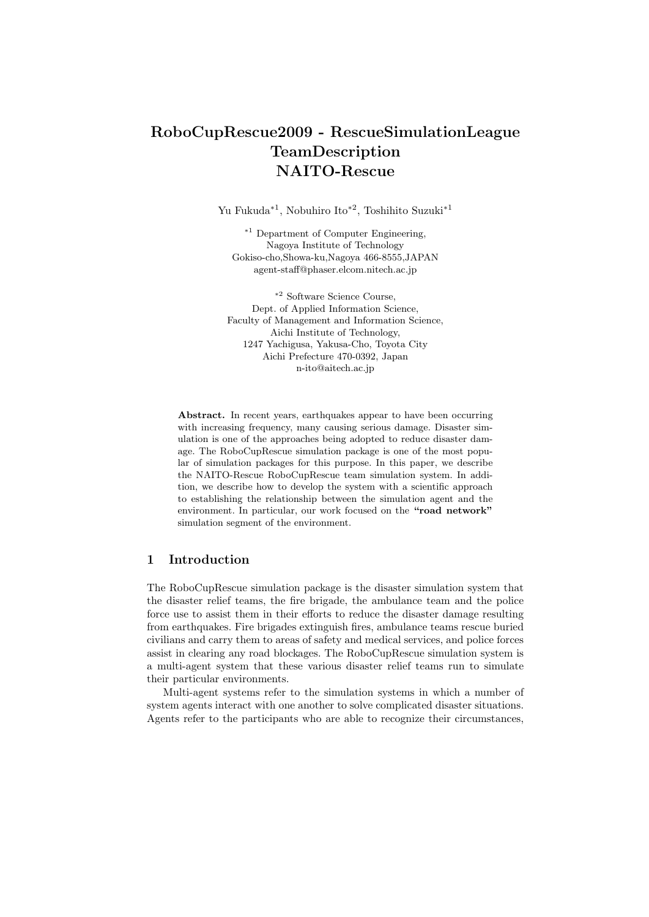# **RoboCupRescue2009 - RescueSimulationLeague TeamDescription NAITO-Rescue**

Yu Fukuda*∗*<sup>1</sup> , Nobuhiro Ito*∗*<sup>2</sup> , Toshihito Suzuki*∗*<sup>1</sup>

*<sup>∗</sup>*<sup>1</sup> Department of Computer Engineering, Nagoya Institute of Technology Gokiso-cho,Showa-ku,Nagoya 466-8555,JAPAN agent-staff@phaser.elcom.nitech.ac.jp

*<sup>∗</sup>*<sup>2</sup> Software Science Course, Dept. of Applied Information Science, Faculty of Management and Information Science, Aichi Institute of Technology, 1247 Yachigusa, Yakusa-Cho, Toyota City Aichi Prefecture 470-0392, Japan n-ito@aitech.ac.jp

Abstract. In recent years, earthquakes appear to have been occurring with increasing frequency, many causing serious damage. Disaster simulation is one of the approaches being adopted to reduce disaster damage. The RoboCupRescue simulation package is one of the most popular of simulation packages for this purpose. In this paper, we describe the NAITO-Rescue RoboCupRescue team simulation system. In addition, we describe how to develop the system with a scientific approach to establishing the relationship between the simulation agent and the environment. In particular, our work focused on the **"road network"** simulation segment of the environment.

# **1 Introduction**

The RoboCupRescue simulation package is the disaster simulation system that the disaster relief teams, the fire brigade, the ambulance team and the police force use to assist them in their efforts to reduce the disaster damage resulting from earthquakes. Fire brigades extinguish fires, ambulance teams rescue buried civilians and carry them to areas of safety and medical services, and police forces assist in clearing any road blockages. The RoboCupRescue simulation system is a multi-agent system that these various disaster relief teams run to simulate their particular environments.

Multi-agent systems refer to the simulation systems in which a number of system agents interact with one another to solve complicated disaster situations. Agents refer to the participants who are able to recognize their circumstances,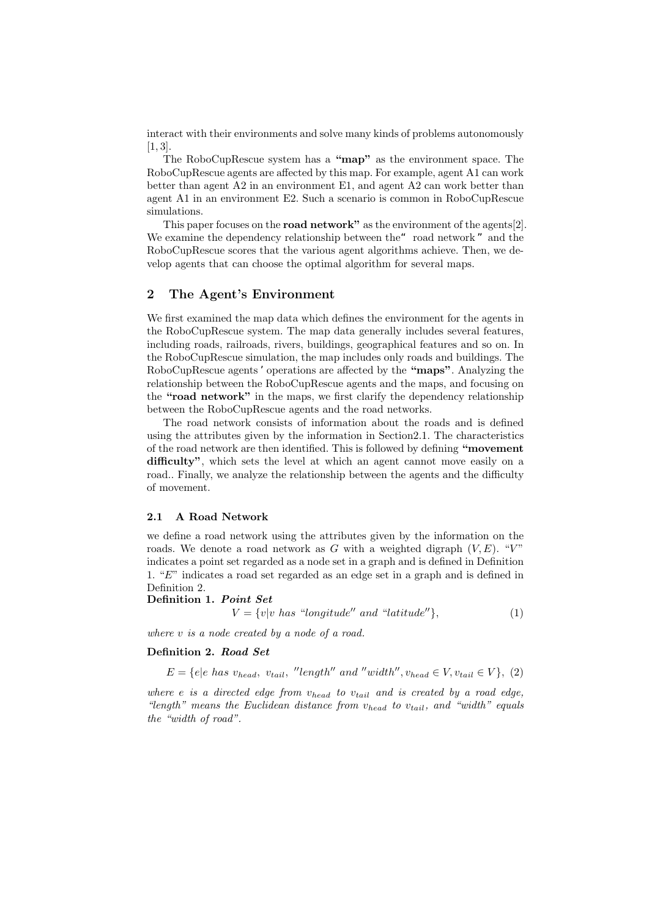interact with their environments and solve many kinds of problems autonomously  $[1, 3]$ .

The RoboCupRescue system has a **"map"** as the environment space. The RoboCupRescue agents are affected by this map. For example, agent A1 can work better than agent A2 in an environment E1, and agent A2 can work better than agent A1 in an environment E2. Such a scenario is common in RoboCupRescue simulations.

This paper focuses on the **road network"** as the environment of the agents[2]. We examine the dependency relationship between the "road network" and the RoboCupRescue scores that the various agent algorithms achieve. Then, we develop agents that can choose the optimal algorithm for several maps.

### **2 The Agent's Environment**

We first examined the map data which defines the environment for the agents in the RoboCupRescue system. The map data generally includes several features, including roads, railroads, rivers, buildings, geographical features and so on. In the RoboCupRescue simulation, the map includes only roads and buildings. The RoboCupRescue agents 'operations are affected by the **"maps"**. Analyzing the relationship between the RoboCupRescue agents and the maps, and focusing on the **"road network"** in the maps, we first clarify the dependency relationship between the RoboCupRescue agents and the road networks.

The road network consists of information about the roads and is defined using the attributes given by the information in Section2.1. The characteristics of the road network are then identified. This is followed by defining **"movement difficulty"**, which sets the level at which an agent cannot move easily on a road.. Finally, we analyze the relationship between the agents and the difficulty of movement.

### **2.1 A Road Network**

we define a road network using the attributes given by the information on the roads. We denote a road network as  $G$  with a weighted digraph  $(V, E)$ . " $V$ " indicates a point set regarded as a node set in a graph and is defined in Definition 1. "*E*" indicates a road set regarded as an edge set in a graph and is defined in Definition 2.

#### **Definition 1.** *Point Set*

 $V = \{v|v \text{ has "longitude'' and "latitude''}\},$  (1)

*where v is a node created by a node of a road.*

### **Definition 2.** *Road Set*

 $E = \{e | e \text{ has } v_{head}, v_{tail}, \text{ "length" and "width", } v_{head} \in V, v_{tail} \in V\}, (2)$ 

*where e is a directed edge from vhead to vtail and is created by a road edge, "length" means the Euclidean distance from vhead to vtail, and "width" equals the "width of road".*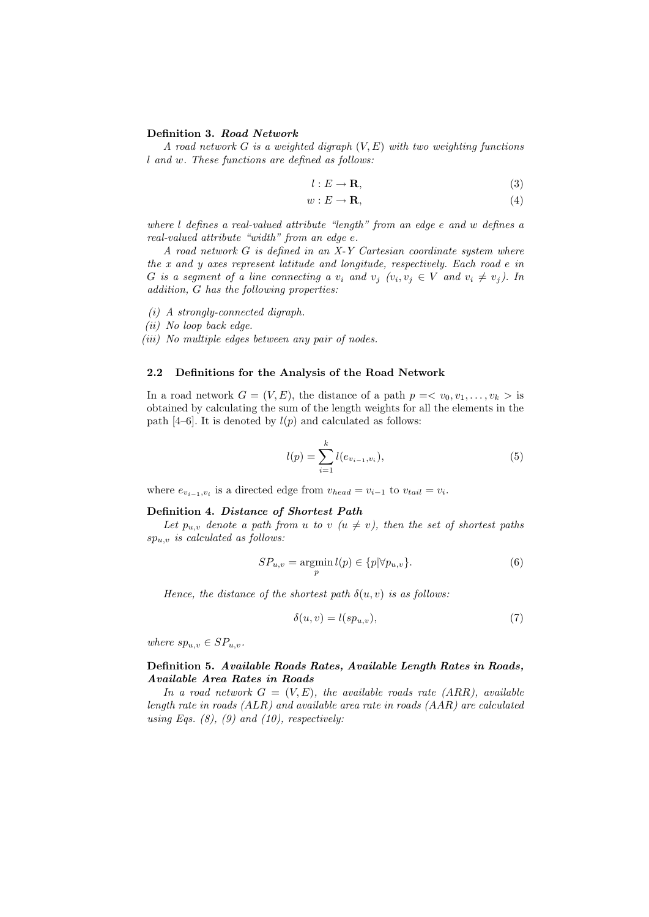#### **Definition 3.** *Road Network*

*A road network G is a weighted digraph* (*V, E*) *with two weighting functions l and w. These functions are defined as follows:*

$$
l: E \to \mathbf{R},\tag{3}
$$

$$
w: E \to \mathbf{R},\tag{4}
$$

*where l defines a real-valued attribute "length" from an edge e and w defines a real-valued attribute "width" from an edge e.*

*A road network G is defined in an X-Y Cartesian coordinate system where the x and y axes represent latitude and longitude, respectively. Each road e in* G is a segment of a line connecting a  $v_i$  and  $v_j$   $(v_i, v_j \in V$  and  $v_i \neq v_j)$ . In *addition, G has the following properties:*

*(i) A strongly-connected digraph.*

*(ii) No loop back edge.*

*(iii) No multiple edges between any pair of nodes.*

#### **2.2 Definitions for the Analysis of the Road Network**

In a road network  $G = (V, E)$ , the distance of a path  $p = \langle v_0, v_1, \ldots, v_k \rangle$  is obtained by calculating the sum of the length weights for all the elements in the path  $[4-6]$ . It is denoted by  $l(p)$  and calculated as follows:

$$
l(p) = \sum_{i=1}^{k} l(e_{v_{i-1}, v_i}),
$$
\n(5)

where  $e_{v_{i-1},v_i}$  is a directed edge from  $v_{head} = v_{i-1}$  to  $v_{tail} = v_i$ .

#### **Definition 4.** *Distance of Shortest Path*

Let  $p_{u,v}$  denote a path from *u* to *v* ( $u \neq v$ ), then the set of shortest paths *spu,v is calculated as follows:*

$$
SP_{u,v} = \underset{p}{\operatorname{argmin}} \, l(p) \in \{p | \forall p_{u,v}\}. \tag{6}
$$

*Hence, the distance of the shortest path*  $\delta(u, v)$  *is as follows:* 

$$
\delta(u, v) = l(sp_{u,v}),\tag{7}
$$

*where*  $sp_{u,v} \in SP_{u,v}$ *.* 

### **Definition 5.** *Available Roads Rates, Available Length Rates in Roads, Available Area Rates in Roads*

In a road network  $G = (V, E)$ , the available roads rate (ARR), available *length rate in roads (ALR) and available area rate in roads (AAR) are calculated using Eqs. (8), (9) and (10), respectively:*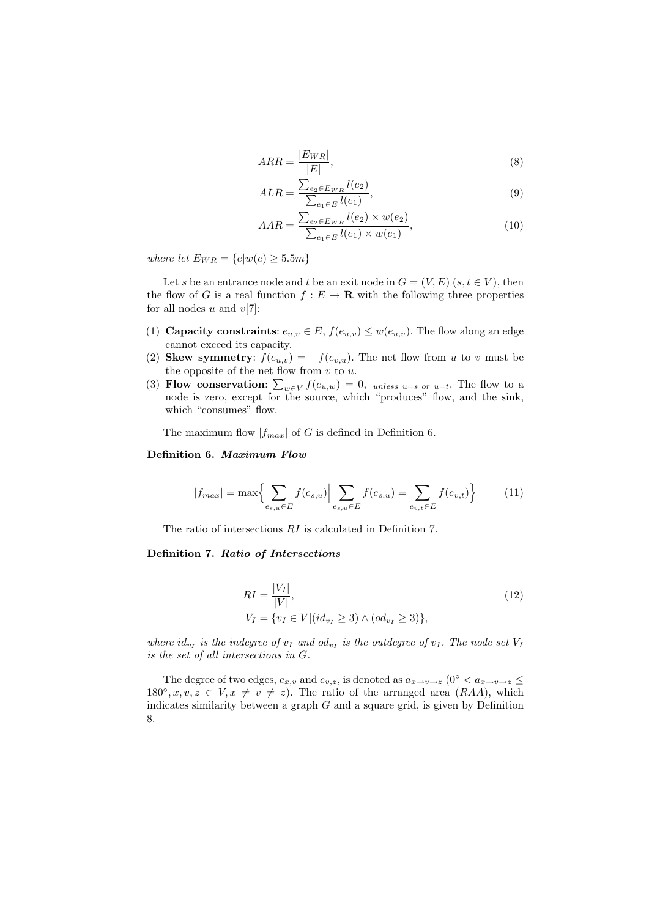$$
ARR = \frac{|E_{WR}|}{|E|},\tag{8}
$$

$$
ALR = \frac{\sum_{e_2 \in E_{WR}} l(e_2)}{\sum_{e_1 \in E} l(e_1)},
$$
\n(9)

$$
AAR = \frac{\sum_{e_2 \in E_{WR}} l(e_2) \times w(e_2)}{\sum_{e_1 \in E} l(e_1) \times w(e_1)},
$$
\n(10)

*where let*  $E_{WR} = \{e|w(e) \ge 5.5m\}$ 

Let *s* be an entrance node and *t* be an exit node in  $G = (V, E)$  ( $s, t \in V$ ), then the flow of *G* is a real function  $f : E \to \mathbf{R}$  with the following three properties for all nodes *u* and *v*[7]:

- (1) **Capacity constraints**:  $e_{u,v} \in E$ ,  $f(e_{u,v}) \leq w(e_{u,v})$ . The flow along an edge cannot exceed its capacity.
- (2) **Skew symmetry**:  $f(e_{u,v}) = -f(e_{v,u})$ . The net flow from *u* to *v* must be the opposite of the net flow from *v* to *u*.
- (3) **Flow conservation:**  $\sum_{w \in V} f(e_{u,w}) = 0$ , unless u=s or u=t. The flow to a node is zero, except for the source, which "produces" flow, and the sink, which "consumes" flow.

The maximum flow  $|f_{max}|$  of *G* is defined in Definition 6.

### **Definition 6.** *Maximum Flow*

$$
|f_{max}| = \max\left\{\sum_{e_{s,u}\in E} f(e_{s,u})\Big|\sum_{e_{s,u}\in E} f(e_{s,u}) = \sum_{e_{v,t}\in E} f(e_{v,t})\right\}
$$
(11)

The ratio of intersections *RI* is calculated in Definition 7.

### **Definition 7.** *Ratio of Intersections*

$$
RI = \frac{|V_I|}{|V|},
$$
  
\n
$$
V_I = \{v_I \in V | (id_{v_I} \ge 3) \land (od_{v_I} \ge 3) \},
$$
\n(12)

*where*  $id_{v_I}$  *is the indegree of*  $v_I$  *and*  $od_{v_I}$  *is the outdegree of*  $v_I$ *. The node set*  $V_I$ *is the set of all intersections in G.*

The degree of two edges,  $e_{x,v}$  and  $e_{v,z}$ , is denoted as  $a_{x\to v\to z}$  (0<sup>°</sup>  $\lt a_{x\to v\to z}$ )  $180^\circ, x, v, z \in V, x \neq v \neq z$ . The ratio of the arranged area  $(RAA)$ , which indicates similarity between a graph *G* and a square grid, is given by Definition 8.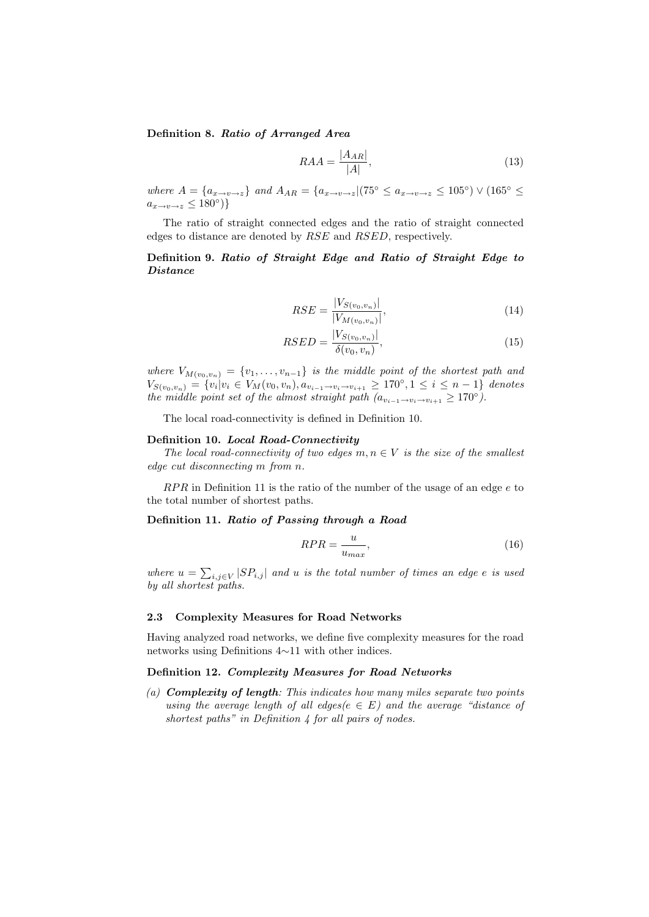**Definition 8.** *Ratio of Arranged Area*

$$
RAA = \frac{|A_{AR}|}{|A|},\tag{13}
$$

where  $A = \{a_{x \to v \to z}\}\$  and  $A_{AR} = \{a_{x \to v \to z} | (75^{\circ} \le a_{x \to v \to z} \le 105^{\circ}) \vee (165^{\circ} \le$ *a<sup>x</sup>→v→<sup>z</sup> ≤* 180*◦* )*}*

The ratio of straight connected edges and the ratio of straight connected edges to distance are denoted by *RSE* and *RSED*, respectively.

**Definition 9.** *Ratio of Straight Edge and Ratio of Straight Edge to Distance*

$$
RSE = \frac{|V_{S(v_0, v_n)}|}{|V_{M(v_0, v_n)}|},\tag{14}
$$

$$
RSED = \frac{|V_{S(v_0, v_n)}|}{\delta(v_0, v_n)},
$$
\n(15)

*where*  $V_{M(v_0,v_n)} = \{v_1,\ldots,v_{n-1}\}$  *is the middle point of the shortest path and*  $V_{S(v_0,v_n)} = \{v_i|v_i \in V_M(v_0,v_n), a_{v_{i-1}\to v_i \to v_{i+1}} \geq 170^{\circ}, 1 \leq i \leq n-1\}$  denotes *the middle point set of the almost straight path*  $(a_{v_{i-1}\rightarrow v_i\rightarrow v_{i+1}} \ge 170^\circ)$ *.* 

The local road-connectivity is defined in Definition 10.

#### **Definition 10.** *Local Road-Connectivity*

*The local road-connectivity of two edges*  $m, n \in V$  *is the size of the smallest edge cut disconnecting m from n.*

*RP R* in Definition 11 is the ratio of the number of the usage of an edge *e* to the total number of shortest paths.

## **Definition 11.** *Ratio of Passing through a Road*

$$
RPR = \frac{u}{u_{max}},\tag{16}
$$

*where*  $u = \sum_{i,j \in V} |SP_{i,j}|$  and *u is the total number of times an edge <i>e is used by all shortest paths.*

#### **2.3 Complexity Measures for Road Networks**

Having analyzed road networks, we define five complexity measures for the road networks using Definitions 4*∼*11 with other indices.

#### **Definition 12.** *Complexity Measures for Road Networks*

*(a) Complexity of length: This indicates how many miles separate two points using the average length of all edges(* $e \in E$ *) and the average "distance of shortest paths" in Definition 4 for all pairs of nodes.*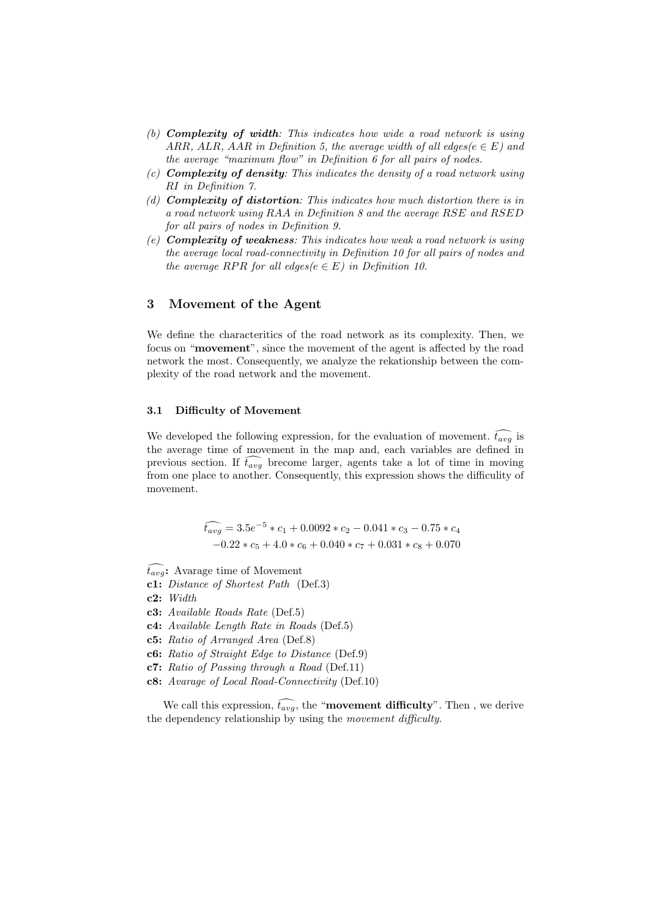- *(b) Complexity of width: This indicates how wide a road network is using ARR, ALR, AAR in Definition 5, the average width of all edges(* $e \in E$ *) and the average "maximum flow" in Definition 6 for all pairs of nodes.*
- *(c) Complexity of density: This indicates the density of a road network using RI in Definition 7.*
- *(d) Complexity of distortion: This indicates how much distortion there is in a road network using RAA in Definition 8 and the average RSE and RSED for all pairs of nodes in Definition 9.*
- *(e) Complexity of weakness: This indicates how weak a road network is using the average local road-connectivity in Definition 10 for all pairs of nodes and the average RPR for all edges(* $e \in E$ *) in Definition 10.*

### **3 Movement of the Agent**

We define the characteritics of the road network as its complexity. Then, we focus on "**movement**", since the movement of the agent is affected by the road network the most. Consequently, we analyze the rekationship between the complexity of the road network and the movement.

### **3.1 Difficulty of Movement**

We developed the following expression, for the evaluation of movement.  $\widehat{t_{avg}}$  is the average time of movement in the map and, each variables are defined in previous section. If  $\widehat{t_{avg}}$  brecome larger, agents take a lot of time in moving from one place to another. Consequently, this expression shows the difficulity of movement.

> $\widehat{t_{avg}} = 3.5e^{-5} * c_1 + 0.0092 * c_2 - 0.041 * c_3 - 0.75 * c_4$ *−*0*.*22 *∗ c*<sup>5</sup> + 4*.*0 *∗ c*<sup>6</sup> + 0*.*040 *∗ c*<sup>7</sup> + 0*.*031 *∗ c*<sup>8</sup> + 0*.*070

 $\hat{t}_{avg}$ : Avarage time of Movement

**c1:** *Distance of Shortest Path* (Def.3)

**c2:** *Width*

**c3:** *Available Roads Rate* (Def.5)

**c4:** *Available Length Rate in Roads* (Def.5)

**c5:** *Ratio of Arranged Area* (Def.8)

**c6:** *Ratio of Straight Edge to Distance* (Def.9)

**c7:** *Ratio of Passing through a Road* (Def.11)

**c8:** *Avarage of Local Road-Connectivity* (Def.10)

We call this expression,  $\widehat{t_{avg}}$ , the "**movement difficulty**". Then, we derive the dependency relationship by using the *movement difficulty*.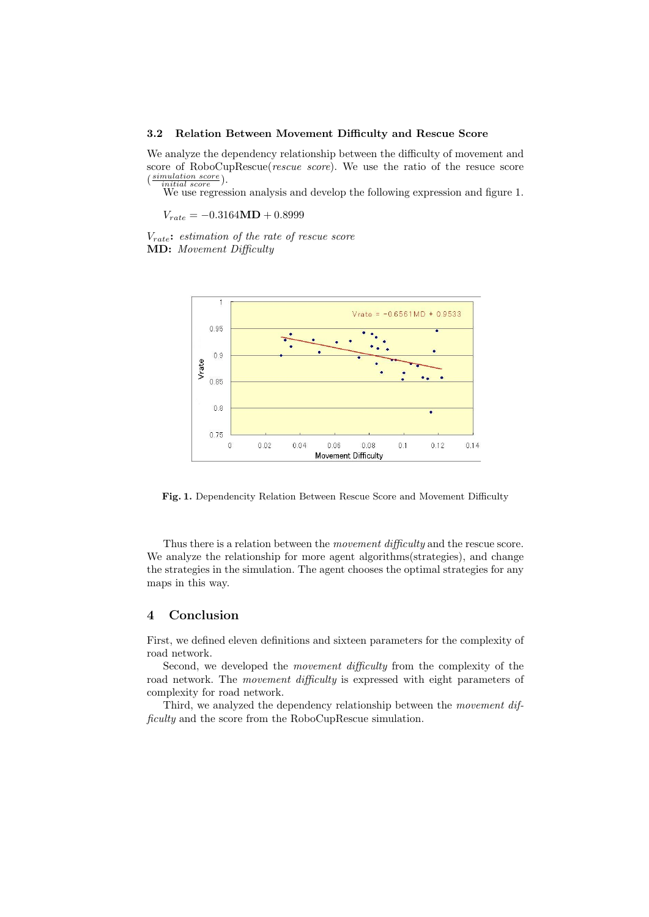#### **3.2 Relation Between Movement Difficulty and Rescue Score**

We analyze the dependency relationship between the difficulty of movement and score of RoboCupRescue(*rescue score*). We use the ratio of the resuce score ( *simulation score initial score* ).

We use regression analysis and develop the following expression and figure 1.

*Vrate* = *−*0*.*3164**MD** + 0*.*8999

*Vrate***:** *estimation of the rate of rescue score* **MD:** *Movement Difficulty*



**Fig. 1.** Dependencity Relation Between Rescue Score and Movement Difficulty

Thus there is a relation between the *movement difficulty* and the rescue score. We analyze the relationship for more agent algorithms(strategies), and change the strategies in the simulation. The agent chooses the optimal strategies for any maps in this way.

# **4 Conclusion**

First, we defined eleven definitions and sixteen parameters for the complexity of road network.

Second, we developed the *movement difficulty* from the complexity of the road network. The *movement difficulty* is expressed with eight parameters of complexity for road network.

Third, we analyzed the dependency relationship between the *movement difficulty* and the score from the RoboCupRescue simulation.